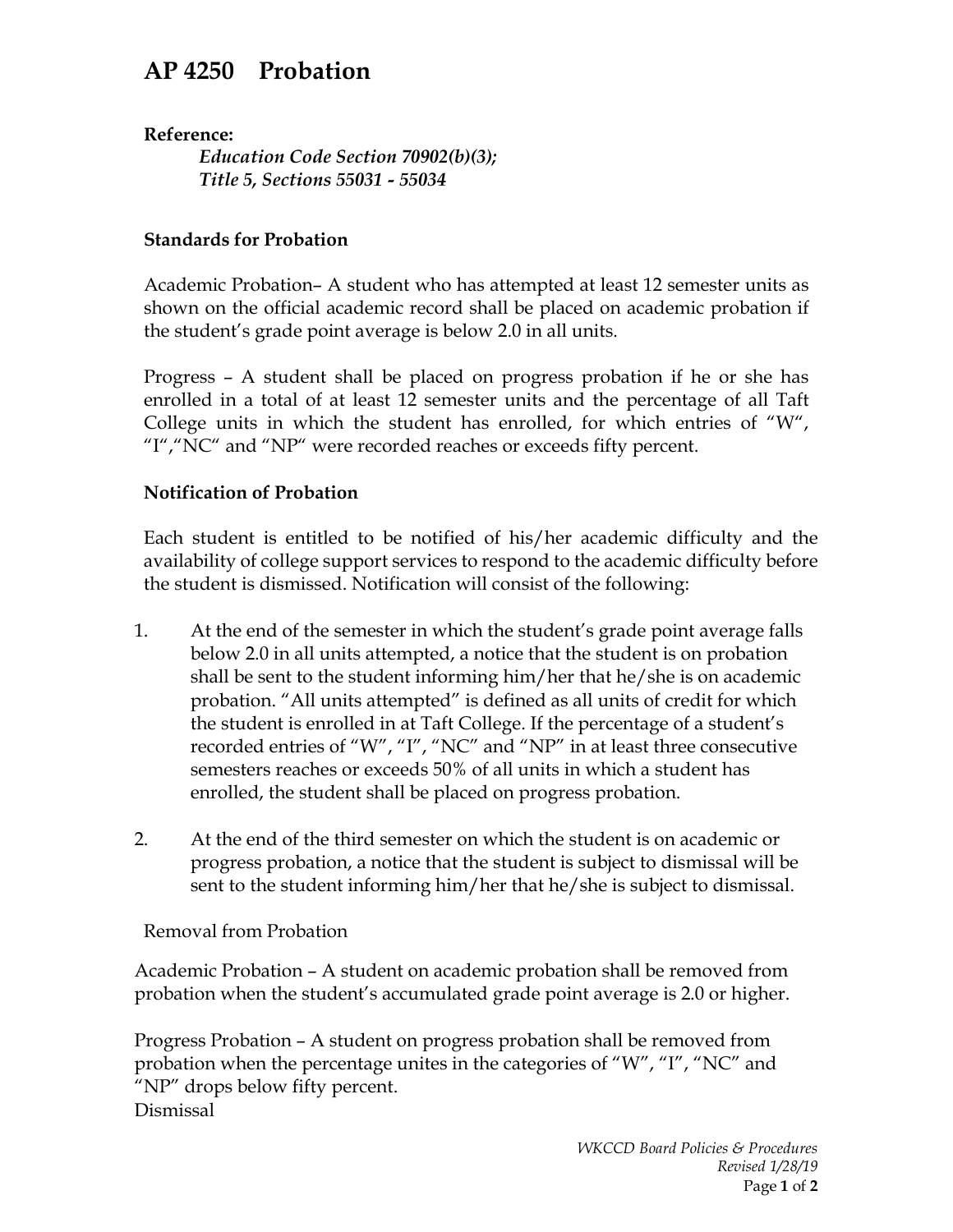## **AP 4250 Probation**

**Reference:**

*Education Code Section 70902(b)(3); Title 5, Sections 55031 - 55034*

## **Standards for Probation**

Academic Probation– A student who has attempted at least 12 semester units as shown on the official academic record shall be placed on academic probation if the student's grade point average is below 2.0 in all units.

Progress – A student shall be placed on progress probation if he or she has enrolled in a total of at least 12 semester units and the percentage of all Taft College units in which the student has enrolled, for which entries of "W", "I", "NC" and "NP" were recorded reaches or exceeds fifty percent.

## **Notification of Probation**

Each student is entitled to be notified of his/her academic difficulty and the availability of college support services to respond to the academic difficulty before the student is dismissed. Notification will consist of the following:

- 1. At the end of the semester in which the student's grade point average falls below 2.0 in all units attempted, a notice that the student is on probation shall be sent to the student informing him/her that he/she is on academic probation. "All units attempted" is defined as all units of credit for which the student is enrolled in at Taft College. If the percentage of a student's recorded entries of "W", "I", "NC" and "NP" in at least three consecutive semesters reaches or exceeds 50% of all units in which a student has enrolled, the student shall be placed on progress probation.
- 2. At the end of the third semester on which the student is on academic or progress probation, a notice that the student is subject to dismissal will be sent to the student informing him/her that he/she is subject to dismissal.

## Removal from Probation

Academic Probation – A student on academic probation shall be removed from probation when the student's accumulated grade point average is 2.0 or higher.

Progress Probation – A student on progress probation shall be removed from probation when the percentage unites in the categories of "W", "I", "NC" and "NP" drops below fifty percent. Dismissal